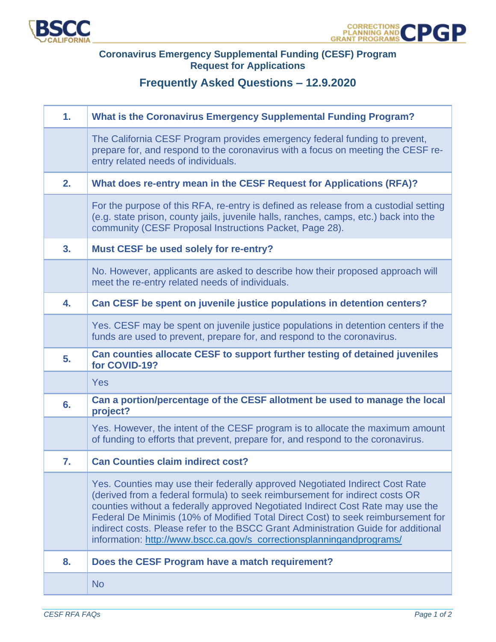

## **Coronavirus Emergency Supplemental Funding (CESF) Program Request for Applications**

## **Frequently Asked Questions – 12.9.2020**

| 1. | <b>What is the Coronavirus Emergency Supplemental Funding Program?</b>                                                                                                                                                                                                                                                                                                                                                                                                                             |
|----|----------------------------------------------------------------------------------------------------------------------------------------------------------------------------------------------------------------------------------------------------------------------------------------------------------------------------------------------------------------------------------------------------------------------------------------------------------------------------------------------------|
|    | The California CESF Program provides emergency federal funding to prevent,<br>prepare for, and respond to the coronavirus with a focus on meeting the CESF re-<br>entry related needs of individuals.                                                                                                                                                                                                                                                                                              |
| 2. | What does re-entry mean in the CESF Request for Applications (RFA)?                                                                                                                                                                                                                                                                                                                                                                                                                                |
|    | For the purpose of this RFA, re-entry is defined as release from a custodial setting<br>(e.g. state prison, county jails, juvenile halls, ranches, camps, etc.) back into the<br>community (CESF Proposal Instructions Packet, Page 28).                                                                                                                                                                                                                                                           |
| 3. | Must CESF be used solely for re-entry?                                                                                                                                                                                                                                                                                                                                                                                                                                                             |
|    | No. However, applicants are asked to describe how their proposed approach will<br>meet the re-entry related needs of individuals.                                                                                                                                                                                                                                                                                                                                                                  |
| 4. | Can CESF be spent on juvenile justice populations in detention centers?                                                                                                                                                                                                                                                                                                                                                                                                                            |
|    | Yes. CESF may be spent on juvenile justice populations in detention centers if the<br>funds are used to prevent, prepare for, and respond to the coronavirus.                                                                                                                                                                                                                                                                                                                                      |
| 5. | Can counties allocate CESF to support further testing of detained juveniles<br>for COVID-19?                                                                                                                                                                                                                                                                                                                                                                                                       |
|    | Yes                                                                                                                                                                                                                                                                                                                                                                                                                                                                                                |
| 6. | Can a portion/percentage of the CESF allotment be used to manage the local<br>project?                                                                                                                                                                                                                                                                                                                                                                                                             |
|    | Yes. However, the intent of the CESF program is to allocate the maximum amount<br>of funding to efforts that prevent, prepare for, and respond to the coronavirus.                                                                                                                                                                                                                                                                                                                                 |
| 7. | <b>Can Counties claim indirect cost?</b>                                                                                                                                                                                                                                                                                                                                                                                                                                                           |
|    | Yes. Counties may use their federally approved Negotiated Indirect Cost Rate<br>(derived from a federal formula) to seek reimbursement for indirect costs OR<br>counties without a federally approved Negotiated Indirect Cost Rate may use the<br>Federal De Minimis (10% of Modified Total Direct Cost) to seek reimbursement for<br>indirect costs. Please refer to the BSCC Grant Administration Guide for additional<br>information: http://www.bscc.ca.gov/s_correctionsplanningandprograms/ |
| 8. | Does the CESF Program have a match requirement?                                                                                                                                                                                                                                                                                                                                                                                                                                                    |
|    | <b>No</b>                                                                                                                                                                                                                                                                                                                                                                                                                                                                                          |